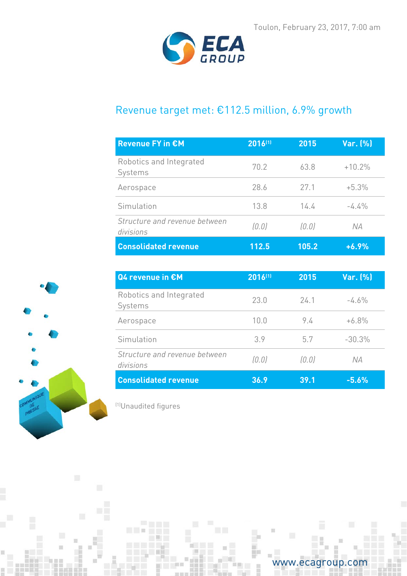

# Revenue target met: €112.5 million, 6.9% growth

| <b>Revenue FY in €M</b>                    | $ 2016^{(1)} $ | 2015   | Var. (%)  |
|--------------------------------------------|----------------|--------|-----------|
| Robotics and Integrated<br>Systems         | 70.2           | 63.8   | $+10.2%$  |
| Aerospace                                  | 28.6           | 27.1   | $+5.3%$   |
| Simulation                                 | 13.8           | 14.4   | $-4.4\%$  |
| Structure and revenue between<br>divisions | (0.0)          | (0, 0) | <b>NA</b> |
| <b>Consolidated revenue</b>                | 112.5          | 105.2  | $+6.9%$   |

| Q4 revenue in €M                           | 2016(1) | 2015   | Var. (%) |
|--------------------------------------------|---------|--------|----------|
| Robotics and Integrated<br>Systems         | 23.0    | 24.1   | $-4.6%$  |
| Aerospace                                  | 10.0    | 94     | $+6.8%$  |
| Simulation                                 | 3.9     | 57     | $-30.3%$ |
| Structure and revenue between<br>divisions | (0.0)   | (0, 0) | NА       |
| <b>Consolidated revenue</b>                | 36.9    | 39.1   | $-5.6%$  |

(1)Unaudited figures

 $\Box$ 



ū



面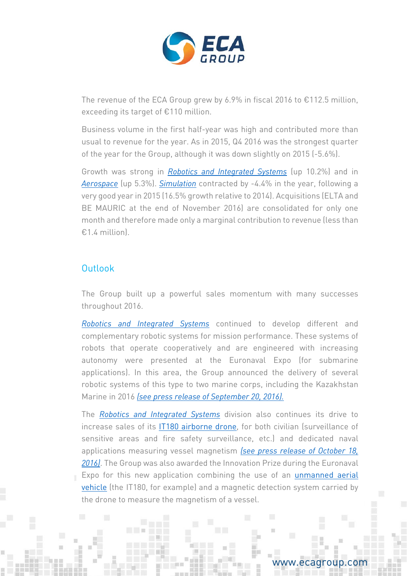

The revenue of the ECA Group grew by 6.9% in fiscal 2016 to  $\epsilon$ 112.5 million, exceeding its target of €110 million.

Business volume in the first half-year was high and contributed more than usual to revenue for the year. As in 2015, Q4 2016 was the strongest quarter of the year for the Group, although it was down slightly on 2015 (-5.6%).

Growth was strong in *[Robotics and Integrated Systems](http://www.ecagroup.com/en/robotic-and-integrated-systems)* (up 10.2%) and in *[Aerospace](http://www.ecagroup.com/en/aerospace)* (up 5.3%). *[Simulation](http://www.ecagroup.com/en/training-simulation)* contracted by -4.4% in the year, following a very good year in 2015 (16.5% growth relative to 2014). Acquisitions (ELTA and BE MAURIC at the end of November 2016) are consolidated for only one month and therefore made only a marginal contribution to revenue (less than  $£14$  million

## Outlook

The Group built up a powerful sales momentum with many successes throughout 2016.

*[Robotics and Integrated Systems](http://www.ecagroup.com/en/robotic-and-integrated-systems)* continued to develop different and complementary robotic systems for mission performance. These systems of robots that operate cooperatively and are engineered with increasing autonomy were presented at the Euronaval Expo (for submarine applications). In this area, the Group announced the delivery of several robotic systems of this type to two marine corps, including the Kazakhstan Marine in 2016 *[\(see press release of September 20, 2016\).](http://www.ecagroup.com/en/financial/delivery-first-robotic-unmanned-mine-counter-measures-mcm-systems)*

The *[Robotics and Integrated Systems](http://www.ecagroup.com/en/robotic-and-integrated-systems)* division also continues its drive to increase sales of its [IT180 airborne drone,](http://www.ecagroup.com/en/find-your-eca-solutions/uav?) for both civilian (surveillance of sensitive areas and fire safety surveillance, etc.) and dedicated naval applications measuring vessel magnetism *[\(see press release of October 18,](http://www.ecagroup.com/en/financial/eca-group-receives-innovation-trophy-euronaval-tradeshow-sterna-application-uav-it180)  [2016\)](http://www.ecagroup.com/en/financial/eca-group-receives-innovation-trophy-euronaval-tradeshow-sterna-application-uav-it180)*. The Group was also awarded the Innovation Prize during the Euronaval Expo for this new application combining the use of an [unmanned aerial](http://www.ecagroup.com/en/find-your-eca-solutions/uav?)  [vehicle](http://www.ecagroup.com/en/find-your-eca-solutions/uav?) (the IT180, for example) and a magnetic detection system carried by the drone to measure the magnetism of a vessel.

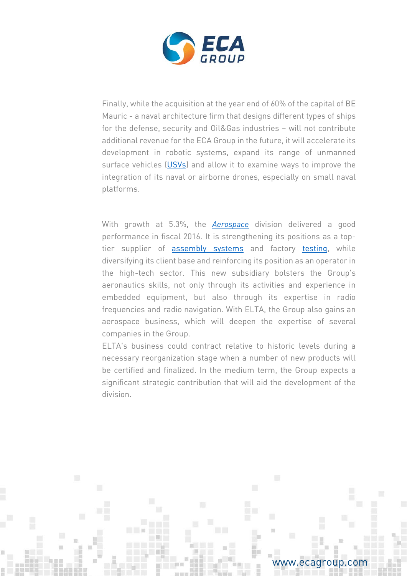

Finally, while the acquisition at the year end of 60% of the capital of BE Mauric - a naval architecture firm that designs different types of ships for the defense, security and Oil&Gas industries – will not contribute additional revenue for the ECA Group in the future, it will accelerate its development in robotic systems, expand its range of unmanned surface vehicles [\(USVs\)](http://www.ecagroup.com/en/find-your-eca-solutions/usv?) and allow it to examine ways to improve the integration of its naval or airborne drones, especially on small naval platforms.

With growth at 5.3%, the *[Aerospace](http://www.ecagroup.com/en/aerospace)* division delivered a good performance in fiscal 2016. It is strengthening its positions as a toptier supplier of [assembly systems](http://www.ecagroup.com/en/find-your-eca-solutions/assembly-lines?) and factory [testing,](http://www.ecagroup.com/en/find-your-eca-solutions/test-means?) while diversifying its client base and reinforcing its position as an operator in the high-tech sector. This new subsidiary bolsters the Group's aeronautics skills, not only through its activities and experience in embedded equipment, but also through its expertise in radio frequencies and radio navigation. With ELTA, the Group also gains an aerospace business, which will deepen the expertise of several companies in the Group.

ELTA's business could contract relative to historic levels during a necessary reorganization stage when a number of new products will be certified and finalized. In the medium term, the Group expects a significant strategic contribution that will aid the development of the division.

www.ecagroup.com

m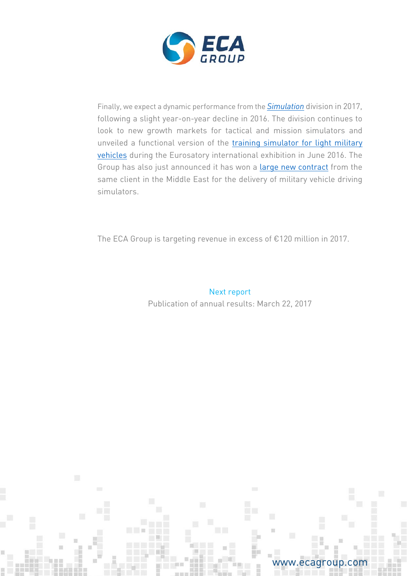

Finally, we expect a dynamic performance from the *[Simulation](http://www.ecagroup.com/en/training-simulation)* division in 2017, following a slight year-on-year decline in 2016. The division continues to look to new growth markets for tactical and mission simulators and unveiled a functional version of the [training simulator for light military](http://www.ecagroup.com/en/solutions/military-vehicle-simulator)  [vehicles](http://www.ecagroup.com/en/solutions/military-vehicle-simulator) during the Eurosatory international exhibition in June 2016. The Group has also just announced it has won a [large new contract](http://www.ecagroup.com/en/financial/eca-group-announces-2nd-contract-military-vehicle-training-simulators) from the same client in the Middle East for the delivery of military vehicle driving simulators.

The ECA Group is targeting revenue in excess of €120 million in 2017.

Next report Publication of annual results: March 22, 2017



m